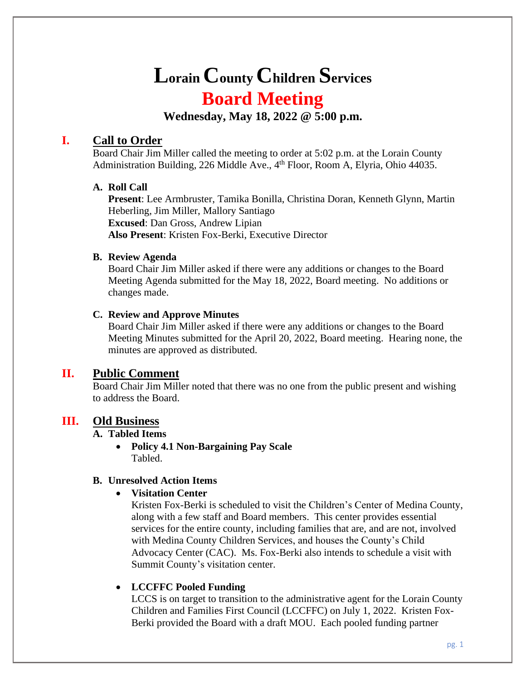# **Lorain County Children Services Board Meeting**

**Wednesday, May 18, 2022 @ 5:00 p.m.**

# **I. Call to Order**

Board Chair Jim Miller called the meeting to order at 5:02 p.m. at the Lorain County Administration Building, 226 Middle Ave., 4<sup>th</sup> Floor, Room A, Elyria, Ohio 44035.

#### **A. Roll Call**

**Present**: Lee Armbruster, Tamika Bonilla, Christina Doran, Kenneth Glynn, Martin Heberling, Jim Miller, Mallory Santiago **Excused**: Dan Gross, Andrew Lipian **Also Present**: Kristen Fox-Berki, Executive Director

#### **B. Review Agenda**

Board Chair Jim Miller asked if there were any additions or changes to the Board Meeting Agenda submitted for the May 18, 2022, Board meeting. No additions or changes made.

### **C. Review and Approve Minutes**

Board Chair Jim Miller asked if there were any additions or changes to the Board Meeting Minutes submitted for the April 20, 2022, Board meeting. Hearing none, the minutes are approved as distributed.

# **II. Public Comment**

Board Chair Jim Miller noted that there was no one from the public present and wishing to address the Board.

# **III. Old Business**

#### **A. Tabled Items**

• **Policy 4.1 Non-Bargaining Pay Scale** Tabled.

# **B. Unresolved Action Items**

#### • **Visitation Center**

Kristen Fox-Berki is scheduled to visit the Children's Center of Medina County, along with a few staff and Board members. This center provides essential services for the entire county, including families that are, and are not, involved with Medina County Children Services, and houses the County's Child Advocacy Center (CAC). Ms. Fox-Berki also intends to schedule a visit with Summit County's visitation center.

# • **LCCFFC Pooled Funding**

LCCS is on target to transition to the administrative agent for the Lorain County Children and Families First Council (LCCFFC) on July 1, 2022. Kristen Fox-Berki provided the Board with a draft MOU. Each pooled funding partner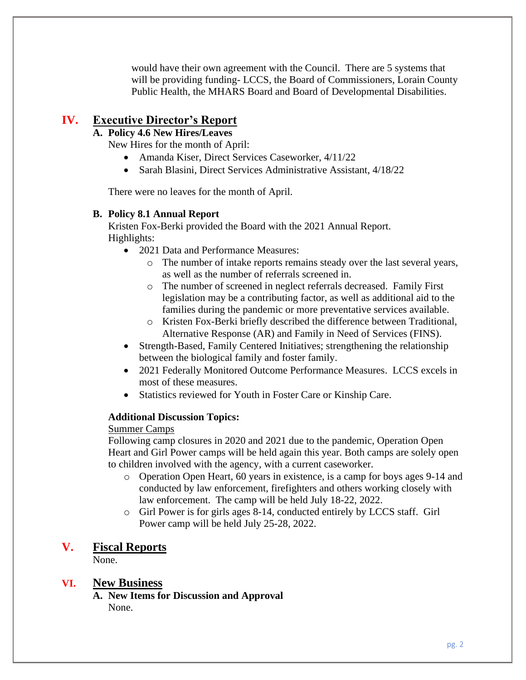would have their own agreement with the Council. There are 5 systems that will be providing funding-LCCS, the Board of Commissioners, Lorain County Public Health, the MHARS Board and Board of Developmental Disabilities.

# **IV. Executive Director's Report**

# **A. Policy 4.6 New Hires/Leaves**

New Hires for the month of April:

- Amanda Kiser, Direct Services Caseworker, 4/11/22
- Sarah Blasini, Direct Services Administrative Assistant, 4/18/22

There were no leaves for the month of April.

#### **B. Policy 8.1 Annual Report**

Kristen Fox-Berki provided the Board with the 2021 Annual Report. Highlights:

- 2021 Data and Performance Measures:
	- o The number of intake reports remains steady over the last several years, as well as the number of referrals screened in.
	- o The number of screened in neglect referrals decreased. Family First legislation may be a contributing factor, as well as additional aid to the families during the pandemic or more preventative services available.
	- o Kristen Fox-Berki briefly described the difference between Traditional, Alternative Response (AR) and Family in Need of Services (FINS).
- Strength-Based, Family Centered Initiatives; strengthening the relationship between the biological family and foster family.
- 2021 Federally Monitored Outcome Performance Measures. LCCS excels in most of these measures.
- Statistics reviewed for Youth in Foster Care or Kinship Care.

#### **Additional Discussion Topics:**

#### Summer Camps

Following camp closures in 2020 and 2021 due to the pandemic, Operation Open Heart and Girl Power camps will be held again this year. Both camps are solely open to children involved with the agency, with a current caseworker.

- o Operation Open Heart, 60 years in existence, is a camp for boys ages 9-14 and conducted by law enforcement, firefighters and others working closely with law enforcement. The camp will be held July 18-22, 2022.
- o Girl Power is for girls ages 8-14, conducted entirely by LCCS staff. Girl Power camp will be held July 25-28, 2022.

#### **V. Fiscal Reports**

None.

#### **VI. New Business**

**A. New Items for Discussion and Approval** None.